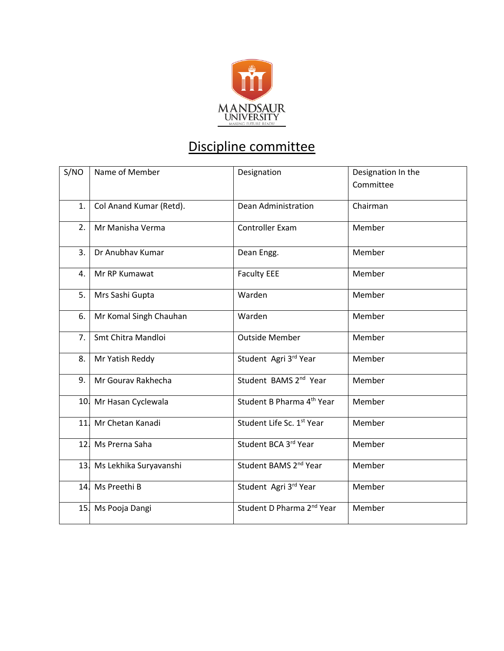

## Discipline committee

| S/NO | Name of Member             | Designation                           | Designation In the |
|------|----------------------------|---------------------------------------|--------------------|
|      |                            |                                       | Committee          |
| 1.   | Col Anand Kumar (Retd).    | Dean Administration                   | Chairman           |
| 2.   | Mr Manisha Verma           | Controller Exam                       | Member             |
| 3.   | Dr Anubhav Kumar           | Dean Engg.                            | Member             |
| 4.   | Mr RP Kumawat              | <b>Faculty EEE</b>                    | Member             |
| 5.   | Mrs Sashi Gupta            | Warden                                | Member             |
| 6.   | Mr Komal Singh Chauhan     | Warden                                | Member             |
| 7.   | Smt Chitra Mandloi         | <b>Outside Member</b>                 | Member             |
| 8.   | Mr Yatish Reddy            | Student Agri 3rd Year                 | Member             |
| 9.   | Mr Gourav Rakhecha         | Student BAMS 2 <sup>nd</sup> Year     | Member             |
|      | 10. Mr Hasan Cyclewala     | Student B Pharma 4 <sup>th</sup> Year | Member             |
|      | 11. Mr Chetan Kanadi       | Student Life Sc. 1st Year             | Member             |
|      | 12. Ms Prerna Saha         | Student BCA 3rd Year                  | Member             |
|      | 13. Ms Lekhika Suryavanshi | Student BAMS 2 <sup>nd</sup> Year     | Member             |
|      | 14. Ms Preethi B           | Student Agri 3rd Year                 | Member             |
|      | 15. Ms Pooja Dangi         | Student D Pharma 2 <sup>nd</sup> Year | Member             |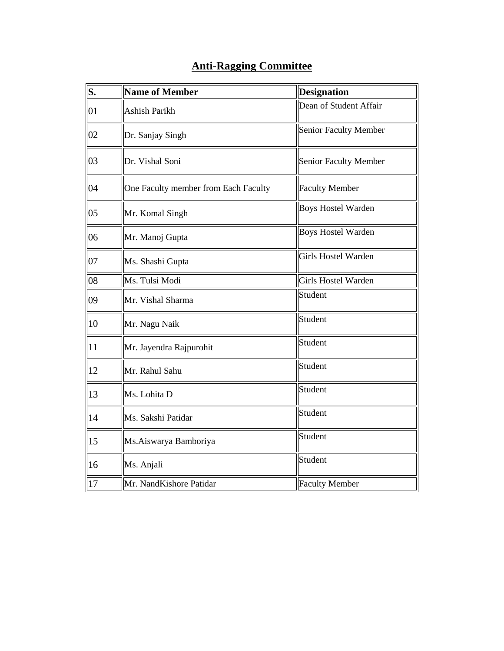## **Anti-Ragging Committee**

| S. | <b>Name of Member</b>                | <b>Designation</b>           |  |
|----|--------------------------------------|------------------------------|--|
| 01 | Ashish Parikh                        | Dean of Student Affair       |  |
| 02 | Dr. Sanjay Singh                     | <b>Senior Faculty Member</b> |  |
| 03 | Dr. Vishal Soni                      | <b>Senior Faculty Member</b> |  |
| 04 | One Faculty member from Each Faculty | <b>Faculty Member</b>        |  |
| 05 | Mr. Komal Singh                      | <b>Boys Hostel Warden</b>    |  |
| 06 | Mr. Manoj Gupta                      | <b>Boys Hostel Warden</b>    |  |
| 07 | Ms. Shashi Gupta                     | <b>Girls Hostel Warden</b>   |  |
| 08 | Ms. Tulsi Modi                       | Girls Hostel Warden          |  |
| 09 | Mr. Vishal Sharma                    | Student                      |  |
| 10 | Mr. Nagu Naik                        | Student                      |  |
| 11 | Mr. Jayendra Rajpurohit              | Student                      |  |
| 12 | Mr. Rahul Sahu                       | Student                      |  |
| 13 | Ms. Lohita D                         | Student                      |  |
| 14 | Ms. Sakshi Patidar                   | Student                      |  |
| 15 | Ms.Aiswarya Bamboriya                | Student                      |  |
| 16 | Ms. Anjali                           | Student                      |  |
| 17 | Mr. NandKishore Patidar              | <b>Faculty Member</b>        |  |